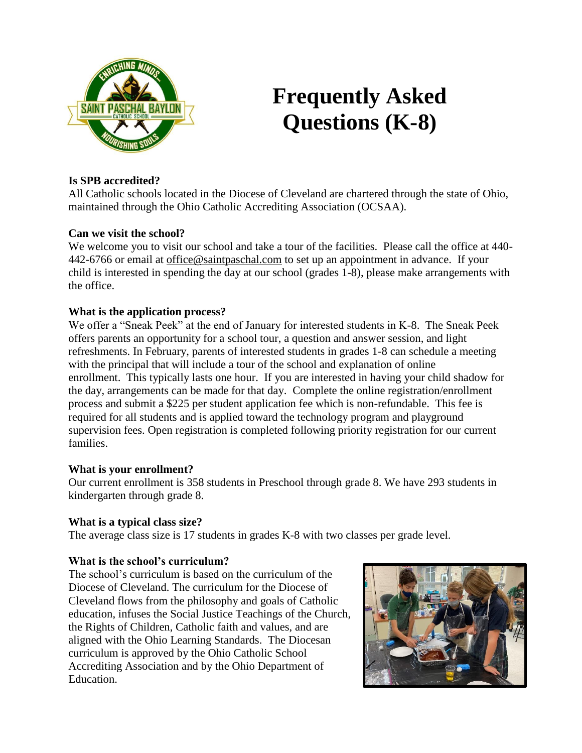

# **Frequently Asked Questions (K-8)**

# **Is SPB accredited?**

All Catholic schools located in the Diocese of Cleveland are chartered through the state of Ohio, maintained through the Ohio Catholic Accrediting Association (OCSAA).

# **Can we visit the school?**

We welcome you to visit our school and take a tour of the facilities. Please call the office at 440-442-6766 or email at [office@saintpaschal.com](mailto:office@saintpaschal.com) to set up an appointment in advance. If your child is interested in spending the day at our school (grades 1-8), please make arrangements with the office.

#### **What is the application process?**

We offer a "Sneak Peek" at the end of January for interested students in K-8. The Sneak Peek offers parents an opportunity for a school tour, a question and answer session, and light refreshments. In February, parents of interested students in grades 1-8 can schedule a meeting with the principal that will include a tour of the school and explanation of online enrollment. This typically lasts one hour. If you are interested in having your child shadow for the day, arrangements can be made for that day. Complete the online registration/enrollment process and submit a \$225 per student application fee which is non-refundable. This fee is required for all students and is applied toward the technology program and playground supervision fees. Open registration is completed following priority registration for our current families.

#### **What is your enrollment?**

Our current enrollment is 358 students in Preschool through grade 8. We have 293 students in kindergarten through grade 8.

# **What is a typical class size?**

The average class size is 17 students in grades K-8 with two classes per grade level.

# **What is the school's curriculum?**

The school's curriculum is based on the curriculum of the Diocese of Cleveland. The curriculum for the Diocese of Cleveland flows from the philosophy and goals of Catholic education, infuses the Social Justice Teachings of the Church, the Rights of Children, Catholic faith and values, and are aligned with the Ohio Learning Standards. The Diocesan curriculum is approved by the Ohio Catholic School Accrediting Association and by the Ohio Department of Education.

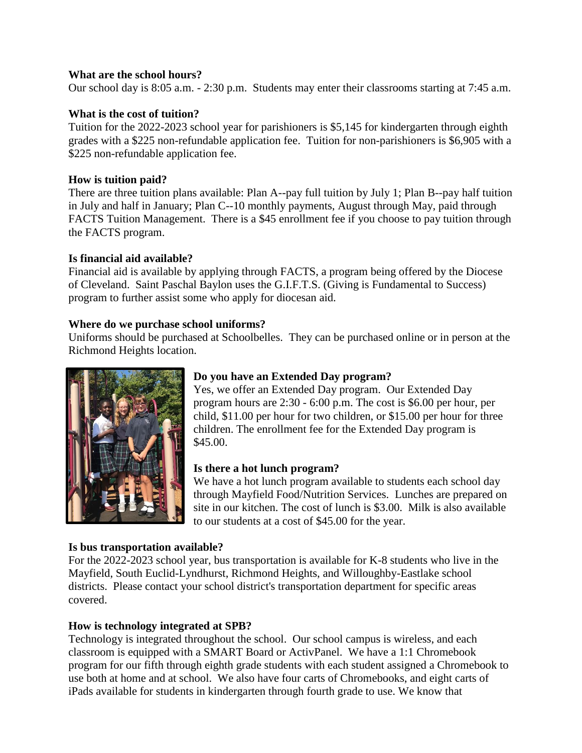## **What are the school hours?**

Our school day is 8:05 a.m. - 2:30 p.m. Students may enter their classrooms starting at 7:45 a.m.

## **What is the cost of tuition?**

Tuition for the 2022-2023 school year for parishioners is \$5,145 for kindergarten through eighth grades with a \$225 non-refundable application fee. Tuition for non-parishioners is \$6,905 with a \$225 non-refundable application fee.

## **How is tuition paid?**

There are three tuition plans available: Plan A--pay full tuition by July 1; Plan B--pay half tuition in July and half in January; Plan C--10 monthly payments, August through May, paid through FACTS Tuition Management. There is a \$45 enrollment fee if you choose to pay tuition through the FACTS program.

#### **Is financial aid available?**

Financial aid is available by applying through FACTS, a program being offered by the Diocese of Cleveland. Saint Paschal Baylon uses the G.I.F.T.S. (Giving is Fundamental to Success) program to further assist some who apply for diocesan aid.

#### **Where do we purchase school uniforms?**

Uniforms should be purchased at Schoolbelles. They can be purchased online or in person at the Richmond Heights location.



# **Do you have an Extended Day program?**

Yes, we offer an Extended Day program. Our Extended Day program hours are 2:30 - 6:00 p.m. The cost is \$6.00 per hour, per child, \$11.00 per hour for two children, or \$15.00 per hour for three children. The enrollment fee for the Extended Day program is \$45.00.

# **Is there a hot lunch program?**

We have a hot lunch program available to students each school day through Mayfield Food/Nutrition Services. Lunches are prepared on site in our kitchen. The cost of lunch is \$3.00. Milk is also available to our students at a cost of \$45.00 for the year.

# **Is bus transportation available?**

For the 2022-2023 school year, bus transportation is available for K-8 students who live in the Mayfield, South Euclid-Lyndhurst, Richmond Heights, and Willoughby-Eastlake school districts. Please contact your school district's transportation department for specific areas covered.

# **How is technology integrated at SPB?**

Technology is integrated throughout the school. Our school campus is wireless, and each classroom is equipped with a SMART Board or ActivPanel. We have a 1:1 Chromebook program for our fifth through eighth grade students with each student assigned a Chromebook to use both at home and at school. We also have four carts of Chromebooks, and eight carts of iPads available for students in kindergarten through fourth grade to use. We know that